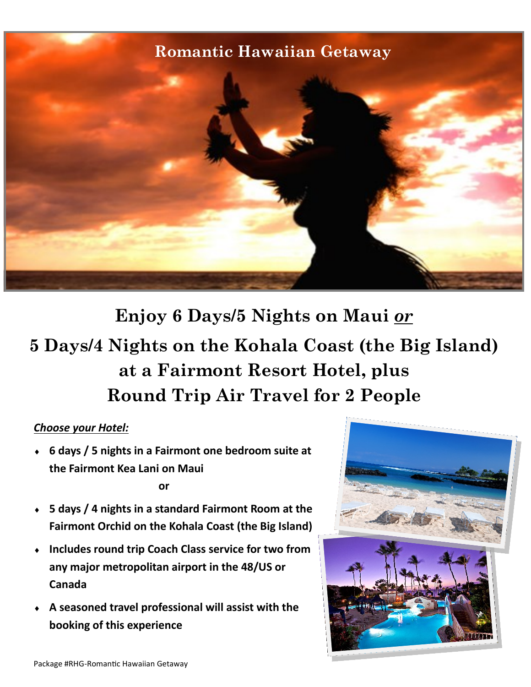## **Romantic Hawaiian Getaway**



**Enjoy 6 Days/5 Nights on Maui** *or* **5 Days/4 Nights on the Kohala Coast (the Big Island) at a Fairmont Resort Hotel, plus Round Trip Air Travel for 2 People**

## *Choose your Hotel:*

 **6 days / 5 nights in a Fairmont one bedroom suite at the Fairmont Kea Lani on Maui** 

**or** 

- **5 days / 4 nights in a standard Fairmont Room at the Fairmont Orchid on the Kohala Coast (the Big Island)**
- **Includes round trip Coach Class service for two from any major metropolitan airport in the 48/US or Canada**
- **A seasoned travel professional will assist with the booking of this experience**